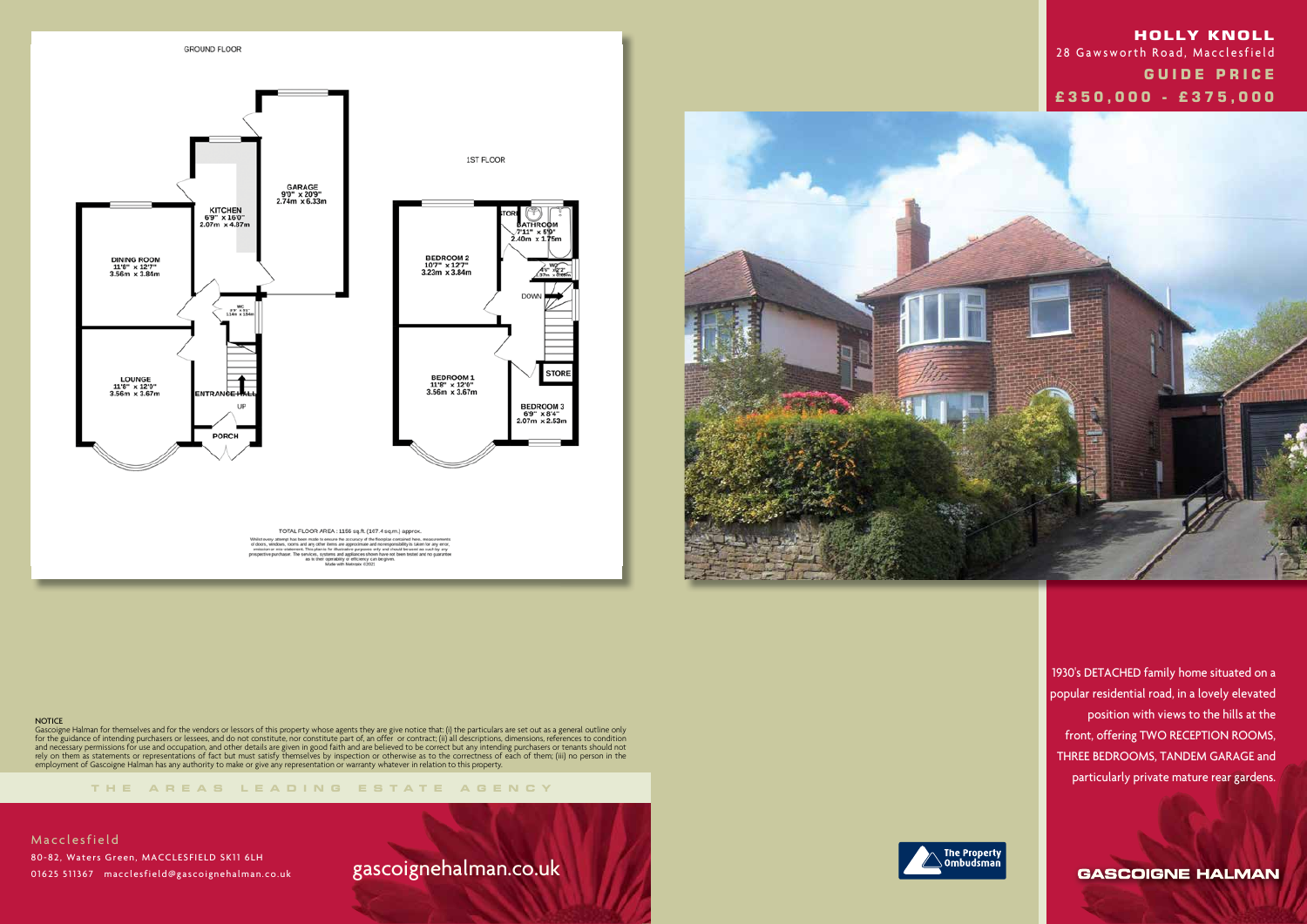



#### **NOTICE**

**THE AREA S LEADING ES T A TE A G E N C Y**

Gascoigne Halman for themselves and for the vendors or lessors of this property whose agents they are give notice that: (i) the particulars are set out as a general outline only for the guidance of intending purchasers or lessees, and do not constitute, nor constitute part of, an offer or contract; (ii) all descriptions, dimensions, references to condition and necessary permissions for use and occupation, and other details are given in good faith and are believed to be correct but any intending purchasers or tenants should not rely on them as statements or representations of fact but must satisfy themselves by inspection or otherwise as to the correctness of each of them; (iii) no person in the employment of Gascoigne Halman has any authority to make or give any representation or warranty whatever in relation to this property.

**Macclesfield**  80-82, Waters Green, MACCLESFIELD SK11 6LH 01625 511367 macclesfield@gascoignehalman.co.uk

1930's DETACHED family home situated on a popular residential road, in a lovely elevated position with views to the hills at the front, offering TWO RECEPTION ROOMS, THREE BEDROOMS, TANDEM GARAGE and particularly private mature rear gardens.

**GASCOIGNE HALMAN** 

# gascoignehalman.co.uk